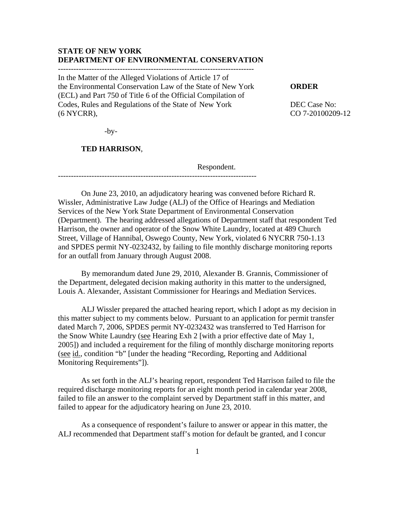### **STATE OF NEW YORK DEPARTMENT OF ENVIRONMENTAL CONSERVATION**

In the Matter of the Alleged Violations of Article 17 of the Environmental Conservation Law of the State of New York **ORDER**  (ECL) and Part 750 of Title 6 of the Official Compilation of Codes, Rules and Regulations of the State of New York DEC Case No: (6 NYCRR), CO 7-20100209-12

-----------------------------------------------------------------------------

 $-by-$ 

#### **TED HARRISON**,

Respondent.

On June 23, 2010, an adjudicatory hearing was convened before Richard R. Wissler, Administrative Law Judge (ALJ) of the Office of Hearings and Mediation Services of the New York State Department of Environmental Conservation (Department). The hearing addressed allegations of Department staff that respondent Ted Harrison, the owner and operator of the Snow White Laundry, located at 489 Church Street, Village of Hannibal, Oswego County, New York, violated 6 NYCRR 750-1.13 and SPDES permit NY-0232432, by failing to file monthly discharge monitoring reports for an outfall from January through August 2008.

By memorandum dated June 29, 2010, Alexander B. Grannis, Commissioner of the Department, delegated decision making authority in this matter to the undersigned, Louis A. Alexander, Assistant Commissioner for Hearings and Mediation Services.

 ALJ Wissler prepared the attached hearing report, which I adopt as my decision in this matter subject to my comments below. Pursuant to an application for permit transfer dated March 7, 2006, SPDES permit NY-0232432 was transferred to Ted Harrison for the Snow White Laundry (see Hearing Exh 2 [with a prior effective date of May 1, 2005]) and included a requirement for the filing of monthly discharge monitoring reports (see id., condition "b" [under the heading "Recording, Reporting and Additional Monitoring Requirements"]).

As set forth in the ALJ's hearing report, respondent Ted Harrison failed to file the required discharge monitoring reports for an eight month period in calendar year 2008, failed to file an answer to the complaint served by Department staff in this matter, and failed to appear for the adjudicatory hearing on June 23, 2010.

 As a consequence of respondent's failure to answer or appear in this matter, the ALJ recommended that Department staff's motion for default be granted, and I concur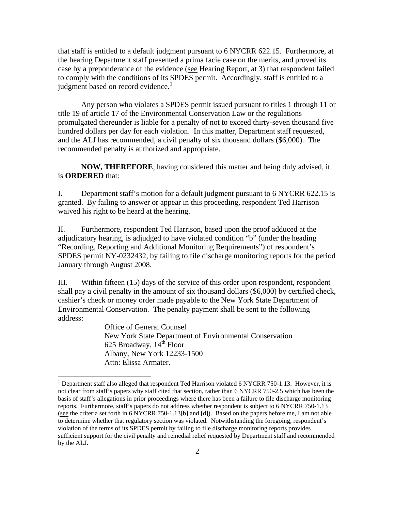that staff is entitled to a default judgment pursuant to 6 NYCRR 622.15. Furthermore, at the hearing Department staff presented a prima facie case on the merits, and proved its case by a preponderance of the evidence (see Hearing Report, at 3) that respondent failed to comply with the conditions of its SPDES permit. Accordingly, staff is entitled to a judgment based on record evidence. $<sup>1</sup>$  $<sup>1</sup>$  $<sup>1</sup>$ </sup>

 Any person who violates a SPDES permit issued pursuant to titles 1 through 11 or title 19 of article 17 of the Environmental Conservation Law or the regulations promulgated thereunder is liable for a penalty of not to exceed thirty-seven thousand five hundred dollars per day for each violation. In this matter, Department staff requested, and the ALJ has recommended, a civil penalty of six thousand dollars (\$6,000). The recommended penalty is authorized and appropriate.

**NOW, THEREFORE**, having considered this matter and being duly advised, it is **ORDERED** that:

I. Department staff's motion for a default judgment pursuant to 6 NYCRR 622.15 is granted. By failing to answer or appear in this proceeding, respondent Ted Harrison waived his right to be heard at the hearing.

II. Furthermore, respondent Ted Harrison, based upon the proof adduced at the adjudicatory hearing, is adjudged to have violated condition "b" (under the heading "Recording, Reporting and Additional Monitoring Requirements") of respondent's SPDES permit NY-0232432, by failing to file discharge monitoring reports for the period January through August 2008.

III. Within fifteen (15) days of the service of this order upon respondent, respondent shall pay a civil penalty in the amount of six thousand dollars (\$6,000) by certified check, cashier's check or money order made payable to the New York State Department of Environmental Conservation. The penalty payment shall be sent to the following address:

> Office of General Counsel New York State Department of Environmental Conservation 625 Broadway,  $14<sup>th</sup>$  Floor Albany, New York 12233-1500 Attn: Elissa Armater.

 $\overline{a}$ 

<span id="page-1-0"></span><sup>&</sup>lt;sup>1</sup> Department staff also alleged that respondent Ted Harrison violated 6 NYCRR 750-1.13. However, it is not clear from staff's papers why staff cited that section, rather than 6 NYCRR 750-2.5 which has been the basis of staff's allegations in prior proceedings where there has been a failure to file discharge monitoring reports. Furthermore, staff's papers do not address whether respondent is subject to 6 NYCRR 750-1.13 (see the criteria set forth in 6 NYCRR 750-1.13[b] and [d]). Based on the papers before me, I am not able to determine whether that regulatory section was violated. Notwithstanding the foregoing, respondent's violation of the terms of its SPDES permit by failing to file discharge monitoring reports provides sufficient support for the civil penalty and remedial relief requested by Department staff and recommended by the ALJ.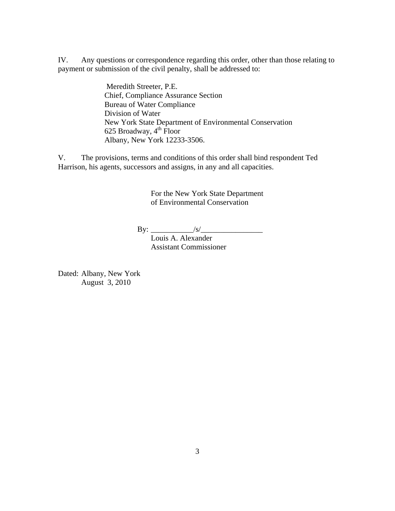IV. Any questions or correspondence regarding this order, other than those relating to payment or submission of the civil penalty, shall be addressed to:

> Meredith Streeter, P.E. Chief, Compliance Assurance Section Bureau of Water Compliance Division of Water New York State Department of Environmental Conservation 625 Broadway,  $4^{\text{th}}$  Floor Albany, New York 12233-3506.

V. The provisions, terms and conditions of this order shall bind respondent Ted Harrison, his agents, successors and assigns, in any and all capacities.

> For the New York State Department of Environmental Conservation

 $\text{By:}\_$ 

 Louis A. Alexander Assistant Commissioner

Dated: Albany, New York August 3, 2010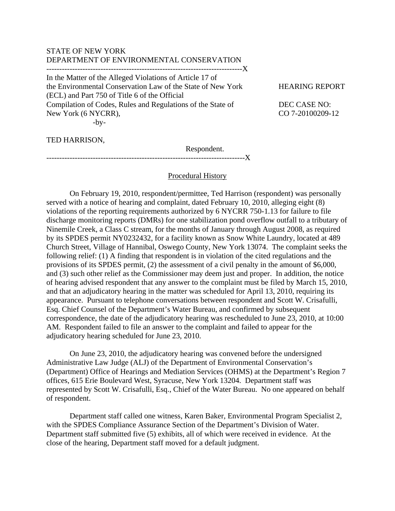### STATE OF NEW YORK DEPARTMENT OF ENVIRONMENTAL CONSERVATION

----------------------------------------------------------------------------X

In the Matter of the Alleged Violations of Article 17 of the Environmental Conservation Law of the State of New York HEARING REPORT (ECL) and Part 750 of Title 6 of the Official Compilation of Codes, Rules and Regulations of the State of DEC CASE NO: New York (6 NYCRR), CO 7-20100209-12  $-bv-$ 

TED HARRISON,

 Respondent. -----------------------------------------------------------------------------X

### Procedural History

 On February 19, 2010, respondent/permittee, Ted Harrison (respondent) was personally served with a notice of hearing and complaint, dated February 10, 2010, alleging eight (8) violations of the reporting requirements authorized by 6 NYCRR 750-1.13 for failure to file discharge monitoring reports (DMRs) for one stabilization pond overflow outfall to a tributary of Ninemile Creek, a Class C stream, for the months of January through August 2008, as required by its SPDES permit NY0232432, for a facility known as Snow White Laundry, located at 489 Church Street, Village of Hannibal, Oswego County, New York 13074. The complaint seeks the following relief: (1) A finding that respondent is in violation of the cited regulations and the provisions of its SPDES permit, (2) the assessment of a civil penalty in the amount of \$6,000, and (3) such other relief as the Commissioner may deem just and proper. In addition, the notice of hearing advised respondent that any answer to the complaint must be filed by March 15, 2010, and that an adjudicatory hearing in the matter was scheduled for April 13, 2010, requiring its appearance. Pursuant to telephone conversations between respondent and Scott W. Crisafulli, Esq. Chief Counsel of the Department's Water Bureau, and confirmed by subsequent correspondence, the date of the adjudicatory hearing was rescheduled to June 23, 2010, at 10:00 AM. Respondent failed to file an answer to the complaint and failed to appear for the adjudicatory hearing scheduled for June 23, 2010.

 On June 23, 2010, the adjudicatory hearing was convened before the undersigned Administrative Law Judge (ALJ) of the Department of Environmental Conservation's (Department) Office of Hearings and Mediation Services (OHMS) at the Department's Region 7 offices, 615 Erie Boulevard West, Syracuse, New York 13204. Department staff was represented by Scott W. Crisafulli, Esq., Chief of the Water Bureau. No one appeared on behalf of respondent.

 Department staff called one witness, Karen Baker, Environmental Program Specialist 2, with the SPDES Compliance Assurance Section of the Department's Division of Water. Department staff submitted five (5) exhibits, all of which were received in evidence. At the close of the hearing, Department staff moved for a default judgment.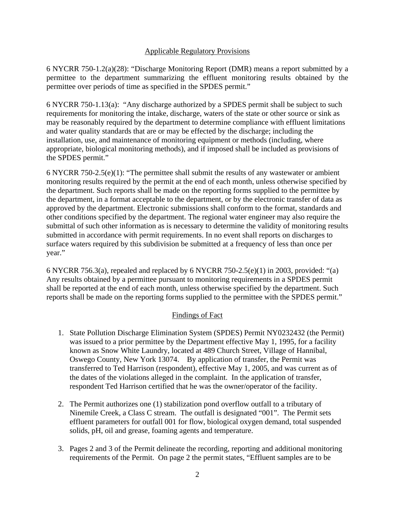### Applicable Regulatory Provisions

6 NYCRR 750-1.2(a)(28): "Discharge Monitoring Report (DMR) means a report submitted by a permittee to the department summarizing the effluent monitoring results obtained by the permittee over periods of time as specified in the SPDES permit."

6 NYCRR 750-1.13(a): "Any discharge authorized by a SPDES permit shall be subject to such requirements for monitoring the intake, discharge, waters of the state or other source or sink as may be reasonably required by the department to determine compliance with effluent limitations and water quality standards that are or may be effected by the discharge; including the installation, use, and maintenance of monitoring equipment or methods (including, where appropriate, biological monitoring methods), and if imposed shall be included as provisions of the SPDES permit."

6 NYCRR 750-2.5(e)(1): "The permittee shall submit the results of any wastewater or ambient monitoring results required by the permit at the end of each month, unless otherwise specified by the department. Such reports shall be made on the reporting forms supplied to the permittee by the department, in a format acceptable to the department, or by the electronic transfer of data as approved by the department. Electronic submissions shall conform to the format, standards and other conditions specified by the department. The regional water engineer may also require the submittal of such other information as is necessary to determine the validity of monitoring results submitted in accordance with permit requirements. In no event shall reports on discharges to surface waters required by this subdivision be submitted at a frequency of less than once per year."

6 NYCRR 756.3(a), repealed and replaced by 6 NYCRR 750-2.5(e)(1) in 2003, provided: "(a) Any results obtained by a permittee pursuant to monitoring requirements in a SPDES permit shall be reported at the end of each month, unless otherwise specified by the department. Such reports shall be made on the reporting forms supplied to the permittee with the SPDES permit."

# Findings of Fact

- 1. State Pollution Discharge Elimination System (SPDES) Permit NY0232432 (the Permit) was issued to a prior permittee by the Department effective May 1, 1995, for a facility known as Snow White Laundry, located at 489 Church Street, Village of Hannibal, Oswego County, New York 13074. By application of transfer, the Permit was transferred to Ted Harrison (respondent), effective May 1, 2005, and was current as of the dates of the violations alleged in the complaint. In the application of transfer, respondent Ted Harrison certified that he was the owner/operator of the facility.
- 2. The Permit authorizes one (1) stabilization pond overflow outfall to a tributary of Ninemile Creek, a Class C stream. The outfall is designated "001". The Permit sets effluent parameters for outfall 001 for flow, biological oxygen demand, total suspended solids, pH, oil and grease, foaming agents and temperature.
- 3. Pages 2 and 3 of the Permit delineate the recording, reporting and additional monitoring requirements of the Permit. On page 2 the permit states, "Effluent samples are to be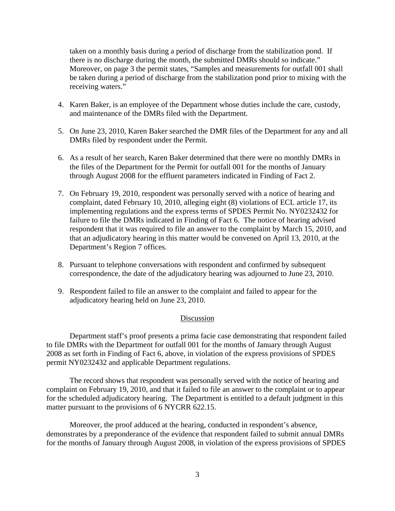taken on a monthly basis during a period of discharge from the stabilization pond. If there is no discharge during the month, the submitted DMRs should so indicate." Moreover, on page 3 the permit states, "Samples and measurements for outfall 001 shall be taken during a period of discharge from the stabilization pond prior to mixing with the receiving waters."

- 4. Karen Baker, is an employee of the Department whose duties include the care, custody, and maintenance of the DMRs filed with the Department.
- 5. On June 23, 2010, Karen Baker searched the DMR files of the Department for any and all DMRs filed by respondent under the Permit.
- 6. As a result of her search, Karen Baker determined that there were no monthly DMRs in the files of the Department for the Permit for outfall 001 for the months of January through August 2008 for the effluent parameters indicated in Finding of Fact 2.
- 7. On February 19, 2010, respondent was personally served with a notice of hearing and complaint, dated February 10, 2010, alleging eight (8) violations of ECL article 17, its implementing regulations and the express terms of SPDES Permit No. NY0232432 for failure to file the DMRs indicated in Finding of Fact 6. The notice of hearing advised respondent that it was required to file an answer to the complaint by March 15, 2010, and that an adjudicatory hearing in this matter would be convened on April 13, 2010, at the Department's Region 7 offices.
- 8. Pursuant to telephone conversations with respondent and confirmed by subsequent correspondence, the date of the adjudicatory hearing was adjourned to June 23, 2010.
- 9. Respondent failed to file an answer to the complaint and failed to appear for the adjudicatory hearing held on June 23, 2010.

### Discussion

 Department staff's proof presents a prima facie case demonstrating that respondent failed to file DMRs with the Department for outfall 001 for the months of January through August 2008 as set forth in Finding of Fact 6, above, in violation of the express provisions of SPDES permit NY0232432 and applicable Department regulations.

 The record shows that respondent was personally served with the notice of hearing and complaint on February 19, 2010, and that it failed to file an answer to the complaint or to appear for the scheduled adjudicatory hearing. The Department is entitled to a default judgment in this matter pursuant to the provisions of 6 NYCRR 622.15.

 Moreover, the proof adduced at the hearing, conducted in respondent's absence, demonstrates by a preponderance of the evidence that respondent failed to submit annual DMRs for the months of January through August 2008, in violation of the express provisions of SPDES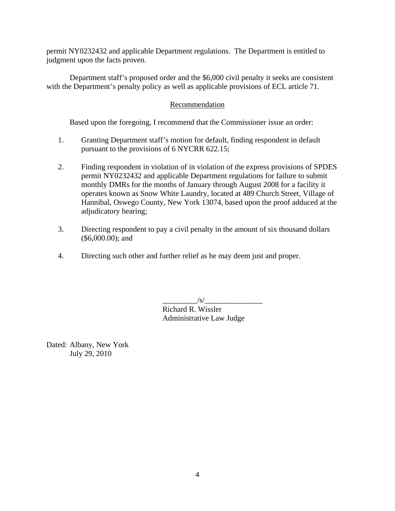permit NY0232432 and applicable Department regulations. The Department is entitled to judgment upon the facts proven.

Department staff's proposed order and the \$6,000 civil penalty it seeks are consistent with the Department's penalty policy as well as applicable provisions of ECL article 71.

## Recommendation

Based upon the foregoing, I recommend that the Commissioner issue an order:

- 1. Granting Department staff's motion for default, finding respondent in default pursuant to the provisions of 6 NYCRR 622.15;
- 2. Finding respondent in violation of in violation of the express provisions of SPDES permit NY0232432 and applicable Department regulations for failure to submit monthly DMRs for the months of January through August 2008 for a facility it operates known as Snow White Laundry, located at 489 Church Street, Village of Hannibal, Oswego County, New York 13074, based upon the proof adduced at the adjudicatory hearing;
- 3. Directing respondent to pay a civil penalty in the amount of six thousand dollars (\$6,000.00); and
- 4. Directing such other and further relief as he may deem just and proper.

 $\sqrt{s/2}$  Richard R. Wissler Administrative Law Judge

Dated: Albany, New York July 29, 2010